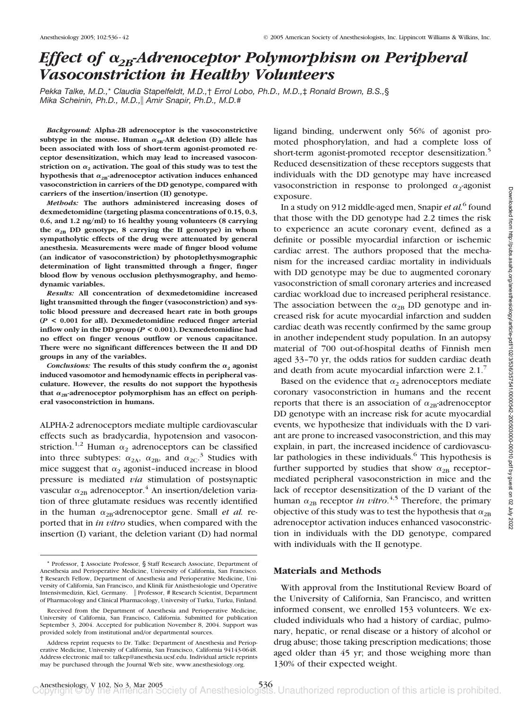# *Effect of*  $\alpha_{2B}$ -Adrenoceptor Polymorphism on Peripheral *Vasoconstriction in Healthy Volunteers*

*Pekka Talke, M.D.,*\* *Claudia Stapelfeldt, M.D.,*† *Errol Lobo, Ph.D., M.D.,*‡ *Ronald Brown, B.S.,*§ *Mika Scheinin, Ph.D., M.D., Amir Snapir, Ph.D., M.D.*#

*Background:* **Alpha-2B adrenoceptor is the vasoconstrictive** subtype in the mouse. Human  $\alpha_{2B}$ -AR deletion (D) allele has **been associated with loss of short-term agonist-promoted receptor desensitization, which may lead to increased vasocon**striction on  $\alpha_2$  activation. The goal of this study was to test the hypothesis that  $\alpha_{2B}$ -adrenoceptor activation induces enhanced **vasoconstriction in carriers of the DD genotype, compared with carriers of the insertion/insertion (II) genotype.**

*Methods:* **The authors administered increasing doses of dexmedetomidine (targeting plasma concentrations of 0.15, 0.3, 0.6, and 1.2 ng/ml) to 16 healthy young volunteers (8 carrying** the  $\alpha_{2B}$  DD genotype, 8 carrying the II genotype) in whom **sympatholytic effects of the drug were attenuated by general anesthesia. Measurements were made of finger blood volume (an indicator of vasoconstriction) by photoplethysmographic determination of light transmitted through a finger, finger blood flow by venous occlusion plethysmography, and hemodynamic variables.**

*Results:* **All concentration of dexmedetomidine increased light transmitted through the finger (vasoconstriction) and systolic blood pressure and decreased heart rate in both groups (***P* **< 0.001 for all). Dexmedetomidine reduced finger arterial inflow only in the DD group (***P* **< 0.001). Dexmedetomidine had no effect on finger venous outflow or venous capacitance. There were no significant differences between the II and DD groups in any of the variables.**

*Conclusions:* The results of this study confirm the  $\alpha_2$  agonist **induced vasomotor and hemodynamic effects in peripheral vasculature. However, the results do not support the hypothesis** that  $\alpha_{2B}$ -adrenoceptor polymorphism has an effect on periph**eral vasoconstriction in humans.**

ALPHA-2 adrenoceptors mediate multiple cardiovascular effects such as bradycardia, hypotension and vasoconstriction.<sup>1,2</sup> Human  $\alpha_2$  adrenoceptors can be classified into three subtypes:  $\alpha_{2A}$ ,  $\alpha_{2B}$ , and  $\alpha_{2C}$ .<sup>3</sup> Studies with mice suggest that  $\alpha_2$  agonist-induced increase in blood pressure is mediated *via* stimulation of postsynaptic vascular  $\alpha_{2B}$  adrenoceptor.<sup>4</sup> An insertion/deletion variation of three glutamate residues was recently identified in the human  $\alpha_{2B}$ -adrenoceptor gene. Small *et al.* reported that in *in vitro* studies, when compared with the insertion (I) variant, the deletion variant (D) had normal ligand binding, underwent only 56% of agonist promoted phosphorylation, and had a complete loss of short-term agonist-promoted receptor desensitization.<sup>5</sup> Reduced desensitization of these receptors suggests that individuals with the DD genotype may have increased vasoconstriction in response to prolonged  $\alpha_2$ -agonist exposure.

In a study on 912 middle-aged men, Snapir *et al.*<sup>6</sup> found that those with the DD genotype had 2.2 times the risk to experience an acute coronary event, defined as a definite or possible myocardial infarction or ischemic cardiac arrest. The authors proposed that the mechanism for the increased cardiac mortality in individuals with DD genotype may be due to augmented coronary vasoconstriction of small coronary arteries and increased cardiac workload due to increased peripheral resistance. The association between the  $\alpha_{2B}$  DD genotype and increased risk for acute myocardial infarction and sudden cardiac death was recently confirmed by the same group in another independent study population. In an autopsy material of 700 out-of-hospital deaths of Finnish men aged 33–70 yr, the odds ratios for sudden cardiac death and death from acute myocardial infarction were  $2.1$ .<sup>7</sup>

Based on the evidence that  $\alpha_2$  adrenoceptors mediate coronary vasoconstriction in humans and the recent reports that there is an association of  $\alpha_{2B}$ -adrenoceptor DD genotype with an increase risk for acute myocardial events, we hypothesize that individuals with the D variant are prone to increased vasoconstriction, and this may explain, in part, the increased incidence of cardiovascular pathologies in these individuals. $6$  This hypothesis is further supported by studies that show  $\alpha_{2B}$  receptormediated peripheral vasoconstriction in mice and the lack of receptor desensitization of the D variant of the human  $\alpha_{2B}$  receptor *in vitro*.<sup>4,5</sup> Therefore, the primary objective of this study was to test the hypothesis that  $\alpha_{2B}$ adrenoceptor activation induces enhanced vasoconstriction in individuals with the DD genotype, compared with individuals with the II genotype.

# **Materials and Methods**

With approval from the Institutional Review Board of the University of California, San Francisco, and written informed consent, we enrolled 153 volunteers. We excluded individuals who had a history of cardiac, pulmonary, hepatic, or renal disease or a history of alcohol or drug abuse; those taking prescription medications; those aged older than 45 yr; and those weighing more than 130% of their expected weight.

<sup>\*</sup> Professor, ‡ Associate Professor, § Staff Research Associate, Department of Anesthesia and Perioperative Medicine, University of California, San Francisco. † Research Fellow, Department of Anesthesia and Perioperative Medicine, University of California, San Francisco, and Klinik für Anästhesiologie und Operative Intensivmedizin, Kiel, Germany. || Professor, # Research Scientist, Department of Pharmacology and Clinical Pharmacology, University of Turku, Turku, Finland.

Received from the Department of Anesthesia and Perioperative Medicine, University of California, San Francisco, California. Submitted for publication September 3, 2004. Accepted for publication November 8, 2004. Support was provided solely from institutional and/or departmental sources.

Address reprint requests to Dr. Talke: Department of Anesthesia and Perioperative Medicine, University of California, San Francisco, California 94143-0648. Address electronic mail to: talkep@anesthesia.ucsf.edu. Individual article reprints may be purchased through the Journal Web site, www.anesthesiology.org.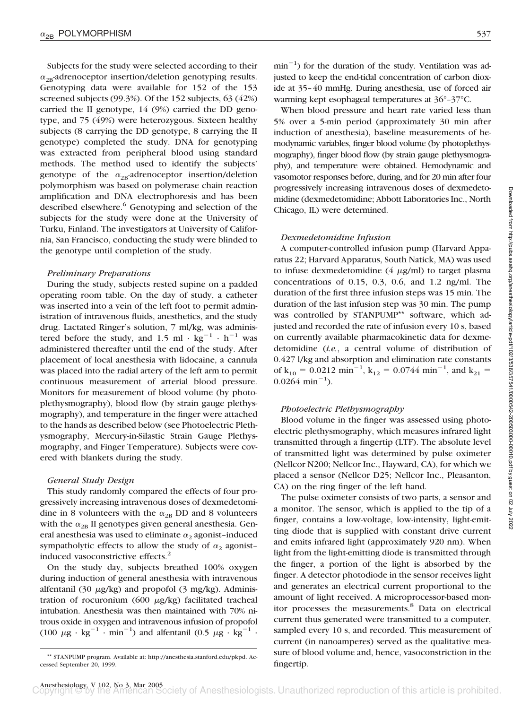Subjects for the study were selected according to their  $\alpha_{2B}$ -adrenoceptor insertion/deletion genotyping results. Genotyping data were available for 152 of the 153 screened subjects (99.3%). Of the 152 subjects, 63 (42%) carried the II genotype, 14 (9%) carried the DD genotype, and 75 (49%) were heterozygous. Sixteen healthy subjects (8 carrying the DD genotype, 8 carrying the II genotype) completed the study. DNA for genotyping was extracted from peripheral blood using standard methods. The method used to identify the subjects' genotype of the  $\alpha_{2B}$ -adrenoceptor insertion/deletion polymorphism was based on polymerase chain reaction amplification and DNA electrophoresis and has been described elsewhere.<sup>6</sup> Genotyping and selection of the subjects for the study were done at the University of Turku, Finland. The investigators at University of California, San Francisco, conducting the study were blinded to the genotype until completion of the study.

## *Preliminary Preparations*

During the study, subjects rested supine on a padded operating room table. On the day of study, a catheter was inserted into a vein of the left foot to permit administration of intravenous fluids, anesthetics, and the study drug. Lactated Ringer's solution, 7 ml/kg, was administered before the study, and 1.5 ml  $\cdot$  kg<sup>-1</sup>  $\cdot$  h<sup>-1</sup> was administered thereafter until the end of the study. After placement of local anesthesia with lidocaine, a cannula was placed into the radial artery of the left arm to permit continuous measurement of arterial blood pressure. Monitors for measurement of blood volume (by photoplethysmography), blood flow (by strain gauge plethysmography), and temperature in the finger were attached to the hands as described below (see Photoelectric Plethysmography, Mercury-in-Silastic Strain Gauge Plethysmography, and Finger Temperature). Subjects were covered with blankets during the study.

# *General Study Design*

This study randomly compared the effects of four progressively increasing intravenous doses of dexmedetomidine in 8 volunteers with the  $\alpha_{2B}$  DD and 8 volunteers with the  $\alpha_{2B}$  II genotypes given general anesthesia. General anesthesia was used to eliminate  $\alpha_2$  agonist-induced sympatholytic effects to allow the study of  $\alpha_2$  agonistinduced vasoconstrictive effects.2

On the study day, subjects breathed 100% oxygen during induction of general anesthesia with intravenous alfentanil  $(30 \mu g/kg)$  and propofol  $(3 \mu g/kg)$ . Administration of rocuronium (600  $\mu$ g/kg) facilitated tracheal intubation. Anesthesia was then maintained with 70% nitrous oxide in oxygen and intravenous infusion of propofol (100  $\mu$ g · kg<sup>-1</sup> · min<sup>-1</sup>) and alfentanil (0.5  $\mu$ g · kg<sup>-1</sup> ·

 $min^{-1}$ ) for the duration of the study. Ventilation was adjusted to keep the end-tidal concentration of carbon dioxide at 35–40 mmHg. During anesthesia, use of forced air warming kept esophageal temperatures at 36°–37°C.

When blood pressure and heart rate varied less than 5% over a 5-min period (approximately 30 min after induction of anesthesia), baseline measurements of hemodynamic variables, finger blood volume (by photoplethysmography), finger blood flow (by strain gauge plethysmography), and temperature were obtained. Hemodynamic and vasomotor responses before, during, and for 20 min after four progressively increasing intravenous doses of dexmedetomidine (dexmedetomidine; Abbott Laboratories Inc., North Chicago, IL) were determined.

# *Dexmedetomidine Infusion*

A computer-controlled infusion pump (Harvard Apparatus 22; Harvard Apparatus, South Natick, MA) was used to infuse dexmedetomidine  $(4 \ \mu g/ml)$  to target plasma concentrations of 0.15, 0.3, 0.6, and 1.2 ng/ml. The duration of the first three infusion steps was 15 min. The duration of the last infusion step was 30 min. The pump was controlled by STANPUMP<sup>\*\*</sup> software, which adjusted and recorded the rate of infusion every 10 s, based on currently available pharmacokinetic data for dexmedetomidine (*i.e.*, a central volume of distribution of 0.427 l/kg and absorption and elimination rate constants of  $k_{10} = 0.0212$  min<sup>-1</sup>,  $k_{12} = 0.0744$  min<sup>-1</sup>, and  $k_{21} =$  $0.0264 \text{ min}^{-1}$ ).

# *Photoelectric Plethysmography*

Blood volume in the finger was assessed using photoelectric plethysmography, which measures infrared light transmitted through a fingertip (LTF). The absolute level of transmitted light was determined by pulse oximeter (Nellcor N200; Nellcor Inc., Hayward, CA), for which we placed a sensor (Nellcor D25; Nellcor Inc., Pleasanton, CA) on the ring finger of the left hand.

The pulse oximeter consists of two parts, a sensor and a monitor. The sensor, which is applied to the tip of a finger, contains a low-voltage, low-intensity, light-emitting diode that is supplied with constant drive current and emits infrared light (approximately 920 nm). When light from the light-emitting diode is transmitted through the finger, a portion of the light is absorbed by the finger. A detector photodiode in the sensor receives light and generates an electrical current proportional to the amount of light received. A microprocessor-based monitor processes the measurements.<sup>8</sup> Data on electrical current thus generated were transmitted to a computer, sampled every 10 s, and recorded. This measurement of current (in nanoamperes) served as the qualitative measure of blood volume and, hence, vasoconstriction in the

<sup>\*\*</sup> STANPUMP program. Available at: http://anesthesia.stanford.edu/pkpd. Ac-<br>ssed September 20, 1999. **fingertip.** cessed September 20, 1999.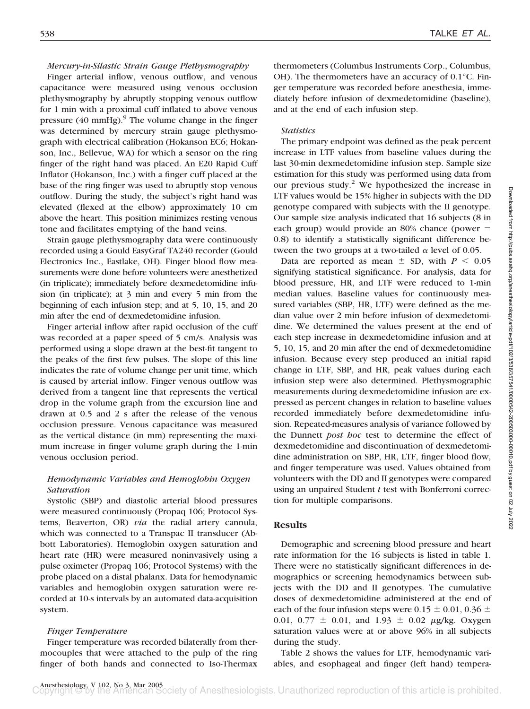### *Mercury-in-Silastic Strain Gauge Plethysmography*

Finger arterial inflow, venous outflow, and venous capacitance were measured using venous occlusion plethysmography by abruptly stopping venous outflow for 1 min with a proximal cuff inflated to above venous pressure  $(40 \text{ mmHg})$ .<sup>9</sup> The volume change in the finger was determined by mercury strain gauge plethysmograph with electrical calibration (Hokanson EC6; Hokanson, Inc., Bellevue, WA) for which a sensor on the ring finger of the right hand was placed. An E20 Rapid Cuff Inflator (Hokanson, Inc.) with a finger cuff placed at the base of the ring finger was used to abruptly stop venous outflow. During the study, the subject's right hand was elevated (flexed at the elbow) approximately 10 cm above the heart. This position minimizes resting venous tone and facilitates emptying of the hand veins.

Strain gauge plethysmography data were continuously recorded using a Gould EasyGraf TA240 recorder (Gould Electronics Inc., Eastlake, OH). Finger blood flow measurements were done before volunteers were anesthetized (in triplicate); immediately before dexmedetomidine infusion (in triplicate); at 3 min and every 5 min from the beginning of each infusion step; and at 5, 10, 15, and 20 min after the end of dexmedetomidine infusion.

Finger arterial inflow after rapid occlusion of the cuff was recorded at a paper speed of 5 cm/s. Analysis was performed using a slope drawn at the best-fit tangent to the peaks of the first few pulses. The slope of this line indicates the rate of volume change per unit time, which is caused by arterial inflow. Finger venous outflow was derived from a tangent line that represents the vertical drop in the volume graph from the excursion line and drawn at 0.5 and 2 s after the release of the venous occlusion pressure. Venous capacitance was measured as the vertical distance (in mm) representing the maximum increase in finger volume graph during the 1-min venous occlusion period.

# *Hemodynamic Variables and Hemoglobin Oxygen Saturation*

Systolic (SBP) and diastolic arterial blood pressures were measured continuously (Propaq 106; Protocol Systems, Beaverton, OR) *via* the radial artery cannula, which was connected to a Transpac II transducer (Abbott Laboratories). Hemoglobin oxygen saturation and heart rate (HR) were measured noninvasively using a pulse oximeter (Propaq 106; Protocol Systems) with the probe placed on a distal phalanx. Data for hemodynamic variables and hemoglobin oxygen saturation were recorded at 10-s intervals by an automated data-acquisition system.

# *Finger Temperature*

Finger temperature was recorded bilaterally from thermocouples that were attached to the pulp of the ring finger of both hands and connected to Iso-Thermax

thermometers (Columbus Instruments Corp., Columbus, OH). The thermometers have an accuracy of 0.1°C. Finger temperature was recorded before anesthesia, immediately before infusion of dexmedetomidine (baseline), and at the end of each infusion step.

### *Statistics*

The primary endpoint was defined as the peak percent increase in LTF values from baseline values during the last 30-min dexmedetomidine infusion step. Sample size estimation for this study was performed using data from our previous study. $2$  We hypothesized the increase in LTF values would be 15% higher in subjects with the DD genotype compared with subjects with the II genotype. Our sample size analysis indicated that 16 subjects (8 in each group) would provide an  $80\%$  chance (power = 0.8) to identify a statistically significant difference between the two groups at a two-tailed  $\alpha$  level of 0.05.

Data are reported as mean  $\pm$  SD, with  $P < 0.05$ signifying statistical significance. For analysis, data for blood pressure, HR, and LTF were reduced to 1-min median values. Baseline values for continuously measured variables (SBP, HR, LTF) were defined as the median value over 2 min before infusion of dexmedetomidine. We determined the values present at the end of each step increase in dexmedetomidine infusion and at 5, 10, 15, and 20 min after the end of dexmedetomidine infusion. Because every step produced an initial rapid change in LTF, SBP, and HR, peak values during each infusion step were also determined. Plethysmographic measurements during dexmedetomidine infusion are expressed as percent changes in relation to baseline values recorded immediately before dexmedetomidine infusion. Repeated-measures analysis of variance followed by the Dunnett *post hoc* test to determine the effect of dexmedetomidine and discontinuation of dexmedetomidine administration on SBP, HR, LTF, finger blood flow, and finger temperature was used. Values obtained from volunteers with the DD and II genotypes were compared using an unpaired Student *t* test with Bonferroni correction for multiple comparisons.

# **Results**

Demographic and screening blood pressure and heart rate information for the 16 subjects is listed in table 1. There were no statistically significant differences in demographics or screening hemodynamics between subjects with the DD and II genotypes. The cumulative doses of dexmedetomidine administered at the end of each of the four infusion steps were 0.15  $\pm$  0.01, 0.36  $\pm$ 0.01, 0.77  $\pm$  0.01, and 1.93  $\pm$  0.02  $\mu$ g/kg. Oxygen saturation values were at or above 96% in all subjects during the study.

Table 2 shows the values for LTF, hemodynamic variables, and esophageal and finger (left hand) tempera-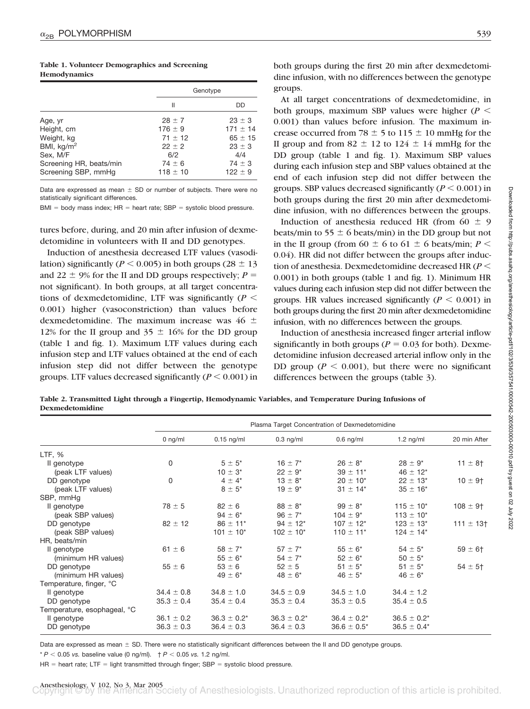|  |              | Table 1. Volunteer Demographics and Screening |  |
|--|--------------|-----------------------------------------------|--|
|  | Hemodynamics |                                               |  |

|                                                                                                                           |                                                                                           | Genotype                                                                                    |
|---------------------------------------------------------------------------------------------------------------------------|-------------------------------------------------------------------------------------------|---------------------------------------------------------------------------------------------|
|                                                                                                                           | Ш                                                                                         | DD                                                                                          |
| Age, yr<br>Height, cm<br>Weight, kg<br>BMI, $\text{kg/m}^2$<br>Sex, M/F<br>Screening HR, beats/min<br>Screening SBP, mmHg | $28 \pm 7$<br>$176 \pm 9$<br>$71 + 12$<br>$22 \pm 2$<br>6/2<br>$74 \pm 6$<br>$118 \pm 10$ | $23 \pm 3$<br>$171 \pm 14$<br>$65 \pm 15$<br>$23 \pm 3$<br>4/4<br>$74 \pm 3$<br>$122 \pm 9$ |

Data are expressed as mean  $\pm$  SD or number of subjects. There were no statistically significant differences.

 $BMI = body$  mass index;  $HR = heat$  rate;  $SBP = systolic blood pressure$ .

tures before, during, and 20 min after infusion of dexmedetomidine in volunteers with II and DD genotypes.

Induction of anesthesia decreased LTF values (vasodilation) significantly ( $P \le 0.005$ ) in both groups ( $28 \pm 13$ ) and 22  $\pm$  9% for the II and DD groups respectively;  $P =$ not significant). In both groups, at all target concentrations of dexmedetomidine, LTF was significantly  $(P \leq$ 0.001) higher (vasoconstriction) than values before dexmedetomidine. The maximum increase was  $46 \pm$ 12% for the II group and  $35 \pm 16$ % for the DD group (table 1 and fig. 1). Maximum LTF values during each infusion step and LTF values obtained at the end of each infusion step did not differ between the genotype groups. LTF values decreased significantly  $(P \leq 0.001)$  in

both groups during the first 20 min after dexmedetomidine infusion, with no differences between the genotype groups.

At all target concentrations of dexmedetomidine, in both groups, maximum SBP values were higher  $(P \leq$ 0.001) than values before infusion. The maximum increase occurred from 78  $\pm$  5 to 115  $\pm$  10 mmHg for the II group and from  $82 \pm 12$  to  $124 \pm 14$  mmHg for the DD group (table 1 and fig. 1). Maximum SBP values during each infusion step and SBP values obtained at the end of each infusion step did not differ between the groups. SBP values decreased significantly  $(P \leq 0.001)$  in both groups during the first 20 min after dexmedetomidine infusion, with no differences between the groups.

Induction of anesthesia reduced HR (from  $60 \pm 9$ beats/min to 55  $\pm$  6 beats/min) in the DD group but not in the II group (from 60  $\pm$  6 to 61  $\pm$  6 beats/min; *P* < 0.04). HR did not differ between the groups after induction of anesthesia. Dexmedetomidine decreased HR (*P* 0.001) in both groups (table 1 and fig. 1). Minimum HR values during each infusion step did not differ between the groups. HR values increased significantly  $(P < 0.001)$  in both groups during the first 20 min after dexmedetomidine infusion, with no differences between the groups.

Induction of anesthesia increased finger arterial inflow significantly in both groups ( $P = 0.03$  for both). Dexmedetomidine infusion decreased arterial inflow only in the DD group ( $P \le 0.001$ ), but there were no significant differences between the groups (table 3).

**Table 2. Transmitted Light through a Fingertip, Hemodynamic Variables, and Temperature During Infusions of Dexmedetomidine**

|                             | Plasma Target Concentration of Dexmedetomidine |                  |                  |                           |                           |                         |
|-----------------------------|------------------------------------------------|------------------|------------------|---------------------------|---------------------------|-------------------------|
|                             | $0$ ng/ml                                      | $0.15$ ng/ml     | $0.3$ ng/ml      | $0.6$ ng/ml               | $1.2$ ng/ml               | 20 min After            |
| LTF, %                      |                                                |                  |                  |                           |                           |                         |
| Il genotype                 | 0                                              | $5 \pm 5^*$      | $16 \pm 7$ *     | $26 \pm 8^*$              | $28 \pm 9^*$              | $11 \pm 8$ †            |
| (peak LTF values)           |                                                | $10 \pm 3^*$     | $22 \pm 9^*$     | $39 \pm 11$ *             | $46 \pm 12^{*}$           |                         |
| DD genotype                 | 0                                              | $4 \pm 4^*$      | $13 \pm 8^*$     | $20 \pm 10^{*}$           | $22 \pm 13$ *             | $10 \pm 9$ <sup>+</sup> |
| (peak LTF values)           |                                                | $8 \pm 5^*$      | $19 \pm 9^*$     | $31 \pm 14$ *             | $35 \pm 16^*$             |                         |
| SBP, mmHq                   |                                                |                  |                  |                           |                           |                         |
| Il genotype                 | $78 \pm 5$                                     | $82 \pm 6$       | $88 \pm 8^*$     | $99 \pm 8^*$              | $115 \pm 10^{*}$          | $108 \pm 9$ †           |
| (peak SBP values)           |                                                | $94 \pm 6^*$     | $96 \pm 7$ *     | $104 \pm 9^*$             | $113 \pm 10^{*}$          |                         |
| DD genotype                 | $82 \pm 12$                                    | $86 \pm 11$ *    | $94 \pm 12^{*}$  | $107 \pm 12^{*}$          | $123 \pm 13$ <sup>*</sup> | $111 \pm 13$ †          |
| (peak SBP values)           |                                                | $101 \pm 10^{*}$ | $102 \pm 10^{*}$ | $110 \pm 11$ <sup>*</sup> | $124 \pm 14$ <sup>*</sup> |                         |
| HR, beats/min               |                                                |                  |                  |                           |                           |                         |
| Il genotype                 | $61 \pm 6$                                     | $58 \pm 7^*$     | $57 \pm 7$ *     | $55 \pm 6^*$              | $54 \pm 5$ *              | $59 \pm 6$ †            |
| (minimum HR values)         |                                                | $55 \pm 6^*$     | $54 \pm 7$ *     | $52 \pm 6^*$              | $50 \pm 5^*$              |                         |
| DD genotype                 | $55 \pm 6$                                     | $53 \pm 6$       | $52 \pm 5$       | $51 \pm 5^*$              | $51 \pm 5^*$              | $54 \pm 5$ †            |
| (minimum HR values)         |                                                | $49 \pm 6^*$     | $48 \pm 6^*$     | $46 \pm 5^*$              | $46 \pm 6^*$              |                         |
| Temperature, finger, °C     |                                                |                  |                  |                           |                           |                         |
| Il genotype                 | $34.4 \pm 0.8$                                 | $34.8 \pm 1.0$   | $34.5 \pm 0.9$   | $34.5 \pm 1.0$            | $34.4 \pm 1.2$            |                         |
| DD genotype                 | $35.3 \pm 0.4$                                 | $35.4 \pm 0.4$   | $35.3 \pm 0.4$   | $35.3 \pm 0.5$            | $35.4 \pm 0.5$            |                         |
| Temperature, esophageal, °C |                                                |                  |                  |                           |                           |                         |
| Il genotype                 | $36.1 \pm 0.2$                                 | $36.3 \pm 0.2^*$ | $36.3 \pm 0.2^*$ | $36.4 \pm 0.2^*$          | $36.5 \pm 0.2^*$          |                         |
| DD genotype                 | $36.3 \pm 0.3$                                 | $36.4 \pm 0.3$   | $36.4 \pm 0.3$   | $36.6 \pm 0.5^*$          | $36.5 \pm 0.4*$           |                         |

Data are expressed as mean  $\pm$  SD. There were no statistically significant differences between the II and DD genotype groups.

 $* P < 0.05$  *vs.* baseline value (0 ng/ml).  $\uparrow P < 0.05$  *vs.* 1.2 ng/ml.

 $HR =$  heart rate; LTF = light transmitted through finger; SBP = systolic blood pressure.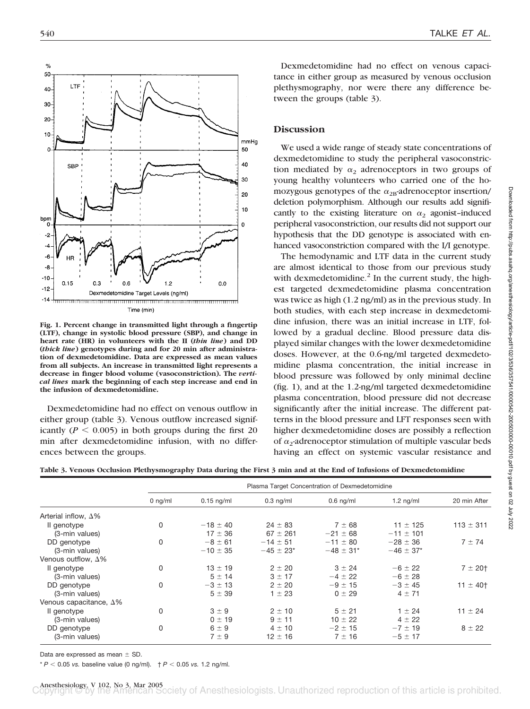

**Fig. 1. Percent change in transmitted light through a fingertip (LTF), change in systolic blood pressure (SBP), and change in heart rate (HR) in volunteers with the II (***thin line***) and DD (***thick line***) genotypes during and for 20 min after administration of dexmedetomidine. Data are expressed as mean values from all subjects. An increase in transmitted light represents a decrease in finger blood volume (vasoconstriction). The** *vertical lines* **mark the beginning of each step increase and end in the infusion of dexmedetomidine.**

Dexmedetomidine had no effect on venous outflow in either group (table 3). Venous outflow increased significantly ( $P \le 0.005$ ) in both groups during the first 20 min after dexmedetomidine infusion, with no differences between the groups.

Dexmedetomidine had no effect on venous capacitance in either group as measured by venous occlusion plethysmography, nor were there any difference between the groups (table 3).

# **Discussion**

We used a wide range of steady state concentrations of dexmedetomidine to study the peripheral vasoconstriction mediated by  $\alpha_2$  adrenoceptors in two groups of young healthy volunteers who carried one of the homozygous genotypes of the  $\alpha_{2B}$ -adrenoceptor insertion/ deletion polymorphism. Although our results add significantly to the existing literature on  $\alpha_2$  agonist-induced peripheral vasoconstriction, our results did not support our hypothesis that the DD genotype is associated with enhanced vasoconstriction compared with the I/I genotype.

The hemodynamic and LTF data in the current study are almost identical to those from our previous study with dexmedetomidine. $^{2}$  In the current study, the highest targeted dexmedetomidine plasma concentration was twice as high (1.2 ng/ml) as in the previous study. In both studies, with each step increase in dexmedetomidine infusion, there was an initial increase in LTF, followed by a gradual decline. Blood pressure data displayed similar changes with the lower dexmedetomidine doses. However, at the 0.6-ng/ml targeted dexmedetomidine plasma concentration, the initial increase in blood pressure was followed by only minimal decline (fig. 1), and at the 1.2-ng/ml targeted dexmedetomidine plasma concentration, blood pressure did not decrease significantly after the initial increase. The different patterns in the blood pressure and LFT responses seen with higher dexmedetomidine doses are possibly a reflection of  $\alpha_2$ -adrenoceptor stimulation of multiple vascular beds having an effect on systemic vascular resistance and

|  |  |  |  |  |  | Table 3. Venous Occlusion Plethysmography Data during the First 3 min and at the End of Infusions of Dexmedetomidine |
|--|--|--|--|--|--|----------------------------------------------------------------------------------------------------------------------|
|--|--|--|--|--|--|----------------------------------------------------------------------------------------------------------------------|

|                                |           | Plasma Target Concentration of Dexmedetomidine |                |                |                |               |  |
|--------------------------------|-----------|------------------------------------------------|----------------|----------------|----------------|---------------|--|
|                                | $0$ ng/ml | $0.15$ ng/ml                                   | $0.3$ ng/ml    | $0.6$ ng/ml    | $1.2$ ng/ml    | 20 min After  |  |
| Arterial inflow, $\Delta\%$    |           |                                                |                |                |                |               |  |
| Il genotype                    | 0         | $-18 \pm 40$                                   | $24 \pm 83$    | $7 + 68$       | $11 \pm 125$   | $113 \pm 311$ |  |
| (3-min values)                 |           | $17 \pm 36$                                    | $67 \pm 261$   | $-21 \pm 68$   | $-11 \pm 101$  |               |  |
| DD genotype                    | 0         | $-8 \pm 61$                                    | $-14 \pm 51$   | $-11 \pm 80$   | $-28 \pm 36$   | $7 + 74$      |  |
| (3-min values)                 |           | $-10 \pm 35$                                   | $-45 \pm 23$ * | $-48 \pm 31$ * | $-46 \pm 37$ * |               |  |
| Venous outflow, $\Delta\%$     |           |                                                |                |                |                |               |  |
| Il genotype                    | 0         | $13 \pm 19$                                    | $2 \pm 20$     | $3 \pm 24$     | $-6 \pm 22$    | 7 ± 201       |  |
| (3-min values)                 |           | $5 \pm 14$                                     | $3 \pm 17$     | $-4 \pm 22$    | $-6 \pm 28$    |               |  |
| DD genotype                    | 0         | $-3 \pm 13$                                    | $2 \pm 20$     | $-9 \pm 15$    | $-3 \pm 45$    | $11 \pm 40$   |  |
| (3-min values)                 |           | $5 + 39$                                       | $1 \pm 23$     | $0 + 29$       | $4 \pm 71$     |               |  |
| Venous capacitance, $\Delta\%$ |           |                                                |                |                |                |               |  |
| Il genotype                    | 0         | $3 \pm 9$                                      | $2 \pm 10$     | $5 \pm 21$     | $1 \pm 24$     | $11 \pm 24$   |  |
| (3-min values)                 |           | $0 \pm 19$                                     | $9 \pm 11$     | $10 \pm 22$    | $4 \pm 22$     |               |  |
| DD genotype                    | 0         | $6 \pm 9$                                      | $4 \pm 10$     | $-2 \pm 15$    | $-7 \pm 19$    | $8 \pm 22$    |  |
| (3-min values)                 |           | $7 \pm 9$                                      | $12 \pm 16$    | $7 \pm 16$     | $-5 \pm 17$    |               |  |

Data are expressed as mean  $\pm$  SD.

 $* P < 0.05$  *vs.* baseline value (0 ng/ml).  $+ P < 0.05$  *vs.* 1.2 ng/ml.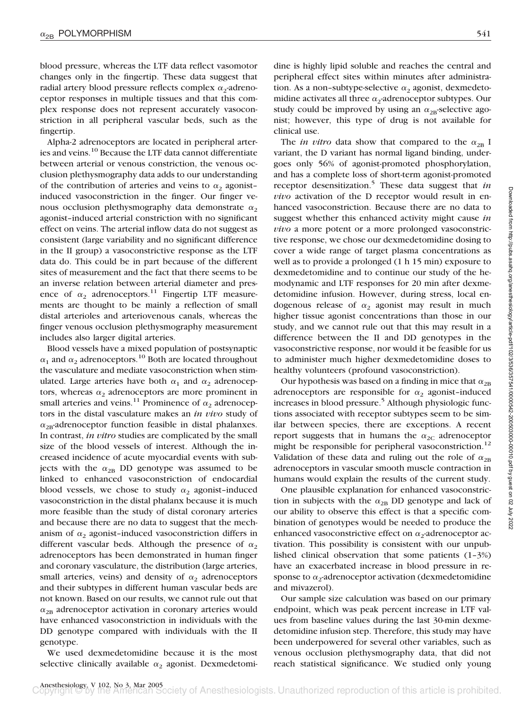blood pressure, whereas the LTF data reflect vasomotor changes only in the fingertip. These data suggest that radial artery blood pressure reflects complex  $\alpha_2$ -adrenoceptor responses in multiple tissues and that this complex response does not represent accurately vasoconstriction in all peripheral vascular beds, such as the fingertip.

Alpha-2 adrenoceptors are located in peripheral arteries and veins.10 Because the LTF data cannot differentiate between arterial or venous constriction, the venous occlusion plethysmography data adds to our understanding of the contribution of arteries and veins to  $\alpha_2$  agonistinduced vasoconstriction in the finger. Our finger venous occlusion plethysmography data demonstrate  $\alpha_2$ agonist–induced arterial constriction with no significant effect on veins. The arterial inflow data do not suggest as consistent (large variability and no significant difference in the II group) a vasoconstrictive response as the LTF data do. This could be in part because of the different sites of measurement and the fact that there seems to be an inverse relation between arterial diameter and presence of  $\alpha_2$  adrenoceptors.<sup>11</sup> Fingertip LTF measurements are thought to be mainly a reflection of small distal arterioles and arteriovenous canals, whereas the finger venous occlusion plethysmography measurement includes also larger digital arteries.

Blood vessels have a mixed population of postsynaptic  $\alpha_1$  and  $\alpha_2$  adrenoceptors.<sup>10</sup> Both are located throughout the vasculature and mediate vasoconstriction when stimulated. Large arteries have both  $\alpha_1$  and  $\alpha_2$  adrenoceptors, whereas  $\alpha_2$  adrenoceptors are more prominent in small arteries and veins.<sup>11</sup> Prominence of  $\alpha_2$  adrenoceptors in the distal vasculature makes an *in vivo* study of  $\alpha_{2B}$ -adrenoceptor function feasible in distal phalanxes. In contrast, *in vitro* studies are complicated by the small size of the blood vessels of interest. Although the increased incidence of acute myocardial events with subjects with the  $\alpha_{2B}$  DD genotype was assumed to be linked to enhanced vasoconstriction of endocardial blood vessels, we chose to study  $\alpha_2$  agonist-induced vasoconstriction in the distal phalanx because it is much more feasible than the study of distal coronary arteries and because there are no data to suggest that the mechanism of  $\alpha_2$  agonist-induced vasoconstriction differs in different vascular beds. Although the presence of  $\alpha_2$ adrenoceptors has been demonstrated in human finger and coronary vasculature, the distribution (large arteries, small arteries, veins) and density of  $\alpha_2$  adrenoceptors and their subtypes in different human vascular beds are not known. Based on our results, we cannot rule out that  $\alpha_{2B}$  adrenoceptor activation in coronary arteries would have enhanced vasoconstriction in individuals with the DD genotype compared with individuals with the II genotype.

We used dexmedetomidine because it is the most selective clinically available  $\alpha_2$  agonist. Dexmedetomidine is highly lipid soluble and reaches the central and peripheral effect sites within minutes after administration. As a non-subtype-selective  $\alpha_2$  agonist, dexmedetomidine activates all three  $\alpha_2$ -adrenoceptor subtypes. Our study could be improved by using an  $\alpha_{2B}$ -selective agonist; however, this type of drug is not available for clinical use.

The *in vitro* data show that compared to the  $\alpha_{2B}$  I variant, the D variant has normal ligand binding, undergoes only 56% of agonist-promoted phosphorylation, and has a complete loss of short-term agonist-promoted receptor desensitization.5 These data suggest that *in vivo* activation of the D receptor would result in enhanced vasoconstriction. Because there are no data to suggest whether this enhanced activity might cause *in vivo* a more potent or a more prolonged vasoconstrictive response, we chose our dexmedetomidine dosing to cover a wide range of target plasma concentrations as well as to provide a prolonged (1 h 15 min) exposure to dexmedetomidine and to continue our study of the hemodynamic and LTF responses for 20 min after dexmedetomidine infusion. However, during stress, local endogenous release of  $\alpha_2$  agonist may result in much higher tissue agonist concentrations than those in our study, and we cannot rule out that this may result in a difference between the II and DD genotypes in the vasoconstrictive response, nor would it be feasible for us to administer much higher dexmedetomidine doses to healthy volunteers (profound vasoconstriction).

Our hypothesis was based on a finding in mice that  $\alpha_{2B}$ adrenoceptors are responsible for  $\alpha_2$  agonist-induced increases in blood pressure.<sup>5</sup> Although physiologic functions associated with receptor subtypes seem to be similar between species, there are exceptions. A recent report suggests that in humans the  $\alpha_{2C}$  adrenoceptor might be responsible for peripheral vasoconstriction.<sup>12</sup> Validation of these data and ruling out the role of  $\alpha_{2B}$ adrenoceptors in vascular smooth muscle contraction in humans would explain the results of the current study.

One plausible explanation for enhanced vasoconstriction in subjects with the  $\alpha_{2B}$  DD genotype and lack of our ability to observe this effect is that a specific combination of genotypes would be needed to produce the enhanced vasoconstrictive effect on  $\alpha_2$ -adrenoceptor activation. This possibility is consistent with our unpublished clinical observation that some patients (1–3%) have an exacerbated increase in blood pressure in response to  $\alpha_2$ -adrenoceptor activation (dexmedetomidine and mivazerol).

Our sample size calculation was based on our primary endpoint, which was peak percent increase in LTF values from baseline values during the last 30-min dexmedetomidine infusion step. Therefore, this study may have been underpowered for several other variables, such as venous occlusion plethysmography data, that did not reach statistical significance. We studied only young